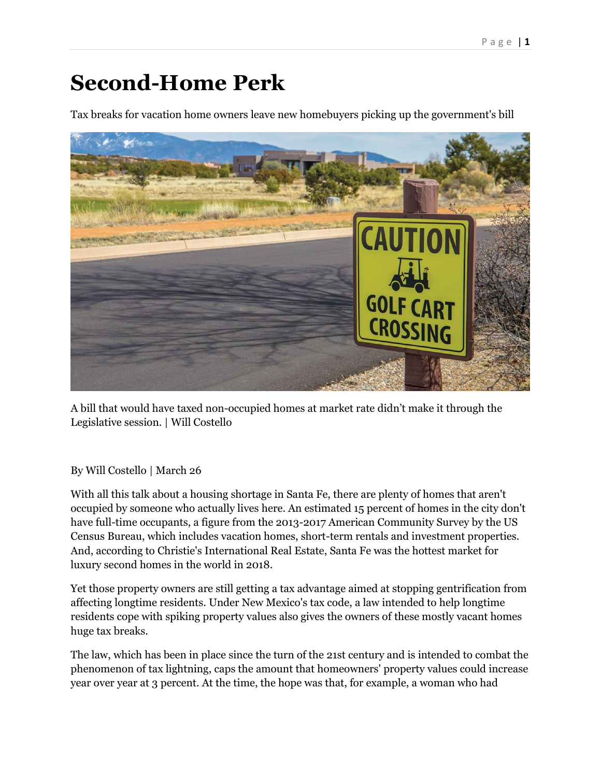## **Second-Home Perk**

Tax breaks for vacation home owners leave new homebuyers picking up the government's bill



A bill that would have taxed non-occupied homes at market rate didn't make it through the Legislative session. | Will Costello

## By Will Costello | March 26

With all this talk about a housing shortage in Santa Fe, there are plenty of homes that aren't occupied by someone who actually lives here. An estimated 15 percent of homes in the city don't have full-time occupants, a figure from the 2013-2017 American Community Survey by the US Census Bureau, which includes vacation homes, short-term rentals and investment properties. And, according to Christie's International Real Estate, Santa Fe was the hottest market for luxury second homes in the world in 2018.

Yet those property owners are still getting a tax advantage aimed at stopping gentrification from affecting longtime residents. Under New Mexico's tax code, a law intended to help longtime residents cope with spiking property values also gives the owners of these mostly vacant homes huge tax breaks.

The law, which has been in place since the turn of the 21st century and is intended to combat the phenomenon of tax lightning, caps the amount that homeowners' property values could increase year over year at 3 percent. At the time, the hope was that, for example, a woman who had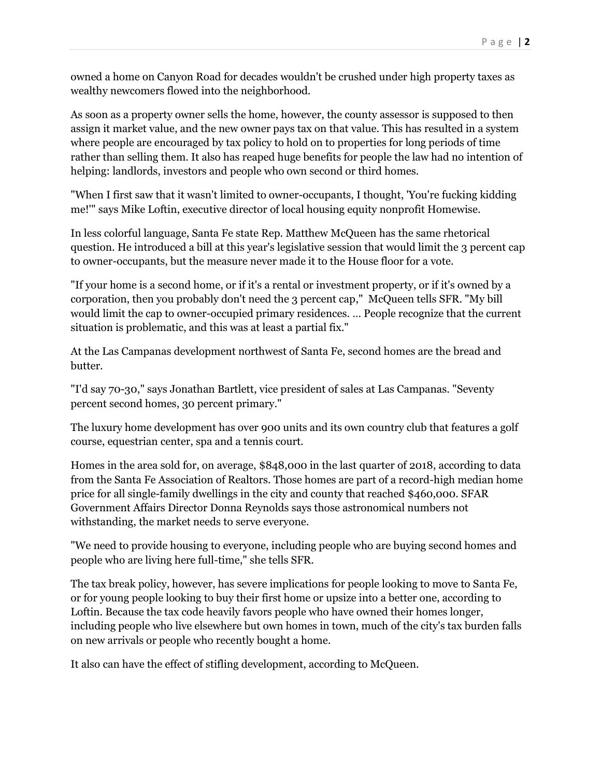owned a home on Canyon Road for decades wouldn't be crushed under high property taxes as wealthy newcomers flowed into the neighborhood.

As soon as a property owner sells the home, however, the county assessor is supposed to then assign it market value, and the new owner pays tax on that value. This has resulted in a system where people are encouraged by tax policy to hold on to properties for long periods of time rather than selling them. It also has reaped huge benefits for people the law had no intention of helping: landlords, investors and people who own second or third homes.

"When I first saw that it wasn't limited to owner-occupants, I thought, 'You're fucking kidding me!'" says Mike Loftin, executive director of local housing equity nonprofit Homewise.

In less colorful language, Santa Fe state Rep. Matthew McQueen has the same rhetorical question. He introduced a bill at this year's legislative session that would limit the 3 percent cap to owner-occupants, but the measure never made it to the House floor for a vote.

"If your home is a second home, or if it's a rental or investment property, or if it's owned by a corporation, then you probably don't need the 3 percent cap," McQueen tells SFR. "My bill would limit the cap to owner-occupied primary residences. … People recognize that the current situation is problematic, and this was at least a partial fix."

At the Las Campanas development northwest of Santa Fe, second homes are the bread and butter.

"I'd say 70-30," says Jonathan Bartlett, vice president of sales at Las Campanas. "Seventy percent second homes, 30 percent primary."

The luxury home development has over 900 units and its own country club that features a golf course, equestrian center, spa and a tennis court.

Homes in the area sold for, on average, \$848,000 in the last quarter of 2018, according to data from the Santa Fe Association of Realtors. Those homes are part of a record-high median home price for all single-family dwellings in the city and county that reached \$460,000. SFAR Government Affairs Director Donna Reynolds says those astronomical numbers not withstanding, the market needs to serve everyone.

"We need to provide housing to everyone, including people who are buying second homes and people who are living here full-time," she tells SFR.

The tax break policy, however, has severe implications for people looking to move to Santa Fe, or for young people looking to buy their first home or upsize into a better one, according to Loftin. Because the tax code heavily favors people who have owned their homes longer, including people who live elsewhere but own homes in town, much of the city's tax burden falls on new arrivals or people who recently bought a home.

It also can have the effect of stifling development, according to McQueen.